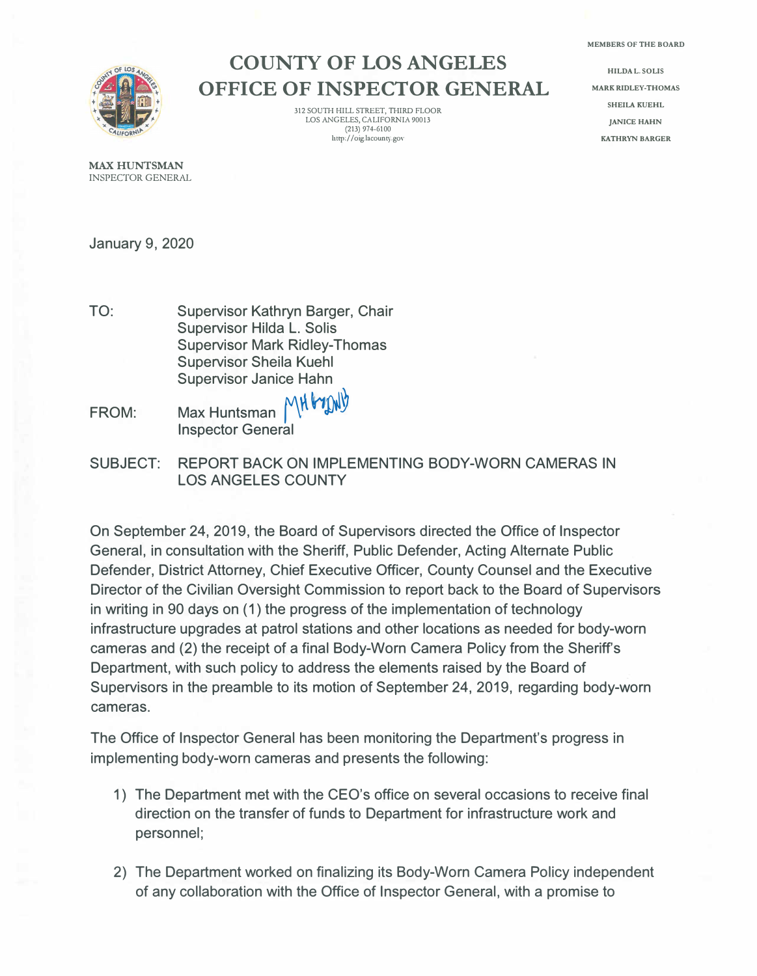

## **COUNTY OF LOS ANGELES OFFICE OF INSPECTOR GENERAL**

312 SOUTH HILL STREET, THIRD FLOOR LOS ANGELES, CALIFORNIA 90013  $(213)$  974-6100 **http://oig.lacount:<sup>y</sup> .gov** 

**HILDA L. SOLIS MARK RIDLEY-THOMAS SHEILA KUEHL JANICE HAHN KATHRYN BARGER** 

MAX HUNTSMAN INSPECTOR GENERAL

January 9, 2020

- TO: Supervisor Kathryn Barger, Chair Supervisor Hilda L. Solis Supervisor Mark Ridley-Thomas Supervisor Sheila Kuehl Supervisor Janice Hahn<br>Max Hunteman, MH MMV
- FROM: Max Huntsman Inspector General
- SUBJECT: REPORT BACK ON IMPLEMENTING BODY-WORN CAMERAS IN LOS ANGELES COUNTY

On September 24, 2019, the Board of Supervisors directed the Office of Inspector General, in consultation with the Sheriff, Public Defender, Acting Alternate Public Defender, District Attorney, Chief Executive Officer, County Counsel and the Executive Director of the Civilian Oversight Commission to report back to the Board of Supervisors in writing in 90 days on (1) the progress of the implementation of technology infrastructure upgrades at patrol stations and other locations as needed for body-worn cameras and (2) the receipt of a final Body-Worn Camera Policy from the Sheriff's Department, with such policy to address the elements raised by the Board of Supervisors in the preamble to its motion of September 24, 2019, regarding body-worn cameras.

The Office of Inspector General has been monitoring the Department's progress in implementing body-worn cameras and presents the following:

- 1) The Department met with the CEO's office on several occasions to receive final direction on the transfer of funds to Department for infrastructure work and personnel;
- 2) The Department worked on finalizing its Body-Worn Camera Policy independent of any collaboration with the Office of Inspector General, with a promise to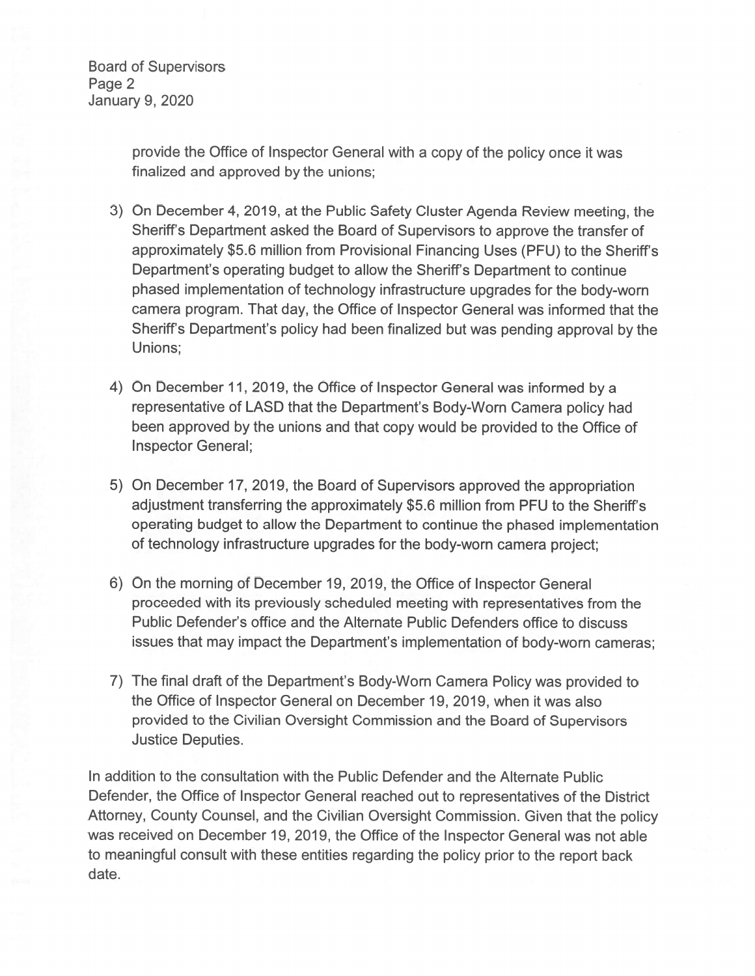**Board of Supervisors** Page 2 **January 9, 2020** 

> provide the Office of Inspector General with a copy of the policy once it was finalized and approved by the unions;

- 3) On December 4, 2019, at the Public Safety Cluster Agenda Review meeting, the Sheriff's Department asked the Board of Supervisors to approve the transfer of approximately \$5.6 million from Provisional Financing Uses (PFU) to the Sheriff's Department's operating budget to allow the Sheriff's Department to continue phased implementation of technology infrastructure upgrades for the body-worn camera program. That day, the Office of Inspector General was informed that the Sheriff's Department's policy had been finalized but was pending approval by the Unions:
- 4) On December 11, 2019, the Office of Inspector General was informed by a representative of LASD that the Department's Body-Worn Camera policy had been approved by the unions and that copy would be provided to the Office of **Inspector General;**
- 5) On December 17, 2019, the Board of Supervisors approved the appropriation adjustment transferring the approximately \$5.6 million from PFU to the Sheriff's operating budget to allow the Department to continue the phased implementation of technology infrastructure upgrades for the body-worn camera project;
- 6) On the morning of December 19, 2019, the Office of Inspector General proceeded with its previously scheduled meeting with representatives from the Public Defender's office and the Alternate Public Defenders office to discuss issues that may impact the Department's implementation of body-worn cameras;
- 7) The final draft of the Department's Body-Worn Camera Policy was provided to the Office of Inspector General on December 19, 2019, when it was also provided to the Civilian Oversight Commission and the Board of Supervisors **Justice Deputies.**

In addition to the consultation with the Public Defender and the Alternate Public Defender, the Office of Inspector General reached out to representatives of the District Attorney, County Counsel, and the Civilian Oversight Commission. Given that the policy was received on December 19, 2019, the Office of the Inspector General was not able to meaningful consult with these entities regarding the policy prior to the report back date.